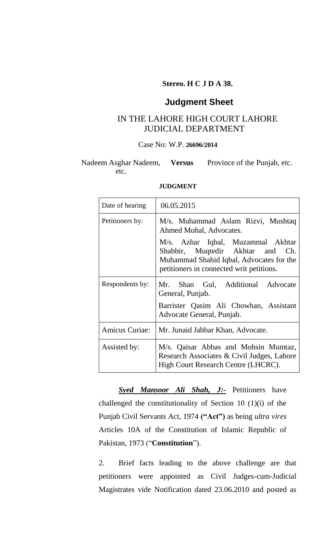### **Stereo. H C J D A 38.**

## **Judgment Sheet**

# IN THE LAHORE HIGH COURT LAHORE JUDICIAL DEPARTMENT

### Case No: W.P. **26696/2014**

#### Nadeem Asghar Nadeem, etc. Province of the Punjab, etc.

#### **JUDGMENT**

| Date of hearing       | 06.05.2015                                                                                                                                                       |
|-----------------------|------------------------------------------------------------------------------------------------------------------------------------------------------------------|
| Petitioners by:       | M/s. Muhammad Aslam Rizvi, Mushtaq<br>Ahmed Mohal, Advocates.                                                                                                    |
|                       | M/s. Azhar Iqbal, Muzammal Akhtar<br>Shabbir, Muqtedir Akhtar<br>and Ch.<br>Muhammad Shahid Iqbal, Advocates for the<br>petitioners in connected writ petitions. |
| Respondents by:       | Mr. Shan Gul, Additional Advocate<br>General, Punjab.                                                                                                            |
|                       | Barrister Qasim Ali Chowhan, Assistant<br>Advocate General, Punjab.                                                                                              |
| <b>Amicus Curiae:</b> | Mr. Junaid Jabbar Khan, Advocate.                                                                                                                                |
| Assisted by:          | M/s. Qaisar Abbas and Mohsin Mumtaz,<br>Research Associates & Civil Judges, Lahore<br>High Court Research Centre (LHCRC).                                        |

*Syed Mansoor Ali Shah, J:-* Petitioners have challenged the constitutionality of Section 10 (1)(i) of the Punjab Civil Servants Act, 1974 **("Act")** as being *ultra vires* Articles 10A of the Constitution of Islamic Republic of Pakistan, 1973 ("**Constitution**").

2. Brief facts leading to the above challenge are that petitioners were appointed as Civil Judges-cum-Judicial Magistrates vide Notification dated 23.06.2010 and posted as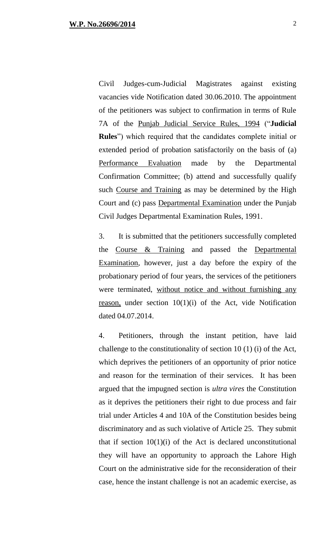Civil Judges-cum-Judicial Magistrates against existing vacancies vide Notification dated 30.06.2010. The appointment of the petitioners was subject to confirmation in terms of Rule 7A of the Punjab Judicial Service Rules, 1994 ("**Judicial Rules**") which required that the candidates complete initial or extended period of probation satisfactorily on the basis of (a) Performance Evaluation made by the Departmental Confirmation Committee; (b) attend and successfully qualify such Course and Training as may be determined by the High Court and (c) pass Departmental Examination under the Punjab Civil Judges Departmental Examination Rules, 1991.

3. It is submitted that the petitioners successfully completed the Course & Training and passed the Departmental Examination, however, just a day before the expiry of the probationary period of four years, the services of the petitioners were terminated, without notice and without furnishing any reason, under section 10(1)(i) of the Act, vide Notification dated 04.07.2014.

4. Petitioners, through the instant petition, have laid challenge to the constitutionality of section 10 (1) (i) of the Act, which deprives the petitioners of an opportunity of prior notice and reason for the termination of their services. It has been argued that the impugned section is *ultra vires* the Constitution as it deprives the petitioners their right to due process and fair trial under Articles 4 and 10A of the Constitution besides being discriminatory and as such violative of Article 25. They submit that if section  $10(1)(i)$  of the Act is declared unconstitutional they will have an opportunity to approach the Lahore High Court on the administrative side for the reconsideration of their case, hence the instant challenge is not an academic exercise, as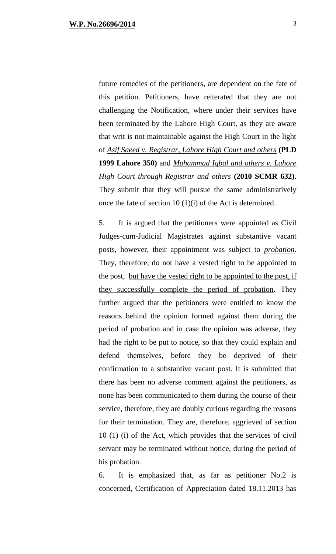future remedies of the petitioners, are dependent on the fate of this petition. Petitioners, have reiterated that they are not challenging the Notification, where under their services have been terminated by the Lahore High Court, as they are aware that writ is not maintainable against the High Court in the light of *Asif Saeed v. Registrar, Lahore High Court and others* **(PLD 1999 Lahore 350)** and *Muhammad Iqbal and others v. Lahore High Court through Registrar and others* **(2010 SCMR 632)**. They submit that they will pursue the same administratively once the fate of section 10 (1)(i) of the Act is determined.

5. It is argued that the petitioners were appointed as Civil Judges-cum-Judicial Magistrates against substantive vacant posts, however, their appointment was subject to *probation*. They, therefore, do not have a vested right to be appointed to the post, but have the vested right to be appointed to the post, if they successfully complete the period of probation. They further argued that the petitioners were entitled to know the reasons behind the opinion formed against them during the period of probation and in case the opinion was adverse, they had the right to be put to notice, so that they could explain and defend themselves, before they be deprived of their confirmation to a substantive vacant post. It is submitted that there has been no adverse comment against the petitioners, as none has been communicated to them during the course of their service, therefore, they are doubly curious regarding the reasons for their termination. They are, therefore, aggrieved of section 10 (1) (i) of the Act, which provides that the services of civil servant may be terminated without notice, during the period of his probation.

6. It is emphasized that, as far as petitioner No.2 is concerned, Certification of Appreciation dated 18.11.2013 has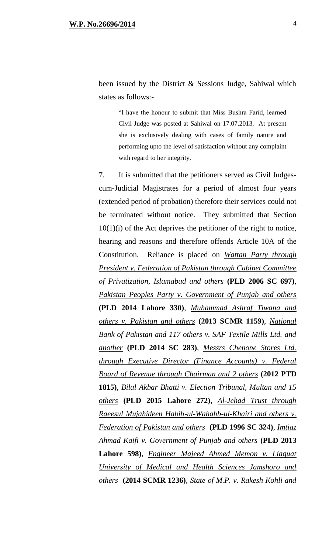been issued by the District & Sessions Judge, Sahiwal which states as follows:-

> "I have the honour to submit that Miss Bushra Farid, learned Civil Judge was posted at Sahiwal on 17.07.2013. At present she is exclusively dealing with cases of family nature and performing upto the level of satisfaction without any complaint with regard to her integrity.

7. It is submitted that the petitioners served as Civil Judgescum-Judicial Magistrates for a period of almost four years (extended period of probation) therefore their services could not be terminated without notice. They submitted that Section  $10(1)(i)$  of the Act deprives the petitioner of the right to notice, hearing and reasons and therefore offends Article 10A of the Constitution. Reliance is placed on *Wattan Party through President v. Federation of Pakistan through Cabinet Committee of Privatization, Islamabad and others* **(PLD 2006 SC 697)**, *Pakistan Peoples Party v. Government of Punjab and others* **(PLD 2014 Lahore 330)**, *Muhammad Ashraf Tiwana and others v. Pakistan and others* **(2013 SCMR 1159)**, *National Bank of Pakistan and 117 others v. SAF Textile Mills Ltd. and another* **(PLD 2014 SC 283)**, *Messrs Chenone Stores Ltd. through Executive Director (Finance Accounts) v. Federal Board of Revenue through Chairman and 2 others* **(2012 PTD 1815)**, *Bilal Akbar Bhatti v. Election Tribunal, Multan and 15 others* **(PLD 2015 Lahore 272)**, *Al-Jehad Trust through Raeesul Mujahideen Habib-ul-Wahabb-ul-Khairi and others v. Federation of Pakistan and others* **(PLD 1996 SC 324)**, *Imtiaz Ahmad Kaifi v. Government of Punjab and others* **(PLD 2013 Lahore 598)**, *Engineer Majeed Ahmed Memon v. Liaquat University of Medical and Health Sciences Jamshoro and others* **(2014 SCMR 1236)**, *State of M.P. v. Rakesh Kohli and*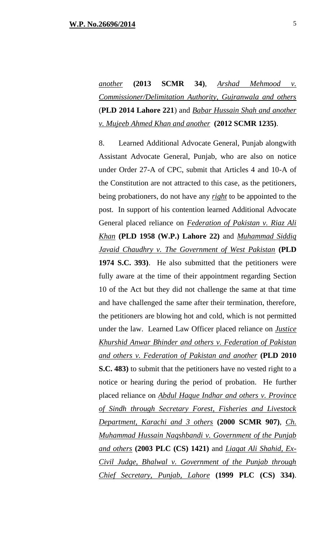*another* **(2013 SCMR 34)**, *Arshad Mehmood v. Commissioner/Delimitation Authority, Gujranwala and others* (**PLD 2014 Lahore 221**) and *Babar Hussain Shah and another v. Mujeeb Ahmed Khan and another* **(2012 SCMR 1235)**.

8. Learned Additional Advocate General, Punjab alongwith Assistant Advocate General, Punjab, who are also on notice under Order 27-A of CPC, submit that Articles 4 and 10-A of the Constitution are not attracted to this case, as the petitioners, being probationers, do not have any *right* to be appointed to the post. In support of his contention learned Additional Advocate General placed reliance on *Federation of Pakistan v. Riaz Ali Khan* **(PLD 1958 (W.P.) Lahore 22)** and *Muhammad Siddiq Javaid Chaudhry v. The Government of West Pakistan* **(PLD 1974 S.C. 393)**. He also submitted that the petitioners were fully aware at the time of their appointment regarding Section 10 of the Act but they did not challenge the same at that time and have challenged the same after their termination, therefore, the petitioners are blowing hot and cold, which is not permitted under the law. Learned Law Officer placed reliance on *Justice Khurshid Anwar Bhinder and others v. Federation of Pakistan and others v. Federation of Pakistan and another* **(PLD 2010 S.C. 483)** to submit that the petitioners have no vested right to a notice or hearing during the period of probation. He further placed reliance on *Abdul Haque Indhar and others v. Province of Sindh through Secretary Forest, Fisheries and Livestock Department, Karachi and 3 others* **(2000 SCMR 907)**, *Ch. Muhammad Hussain Naqshbandi v. Government of the Punjab and others* **(2003 PLC (CS) 1421)** and *Liaqat Ali Shahid, Ex-Civil Judge, Bhalwal v. Government of the Punjab through Chief Secretary, Punjab, Lahore* **(1999 PLC (CS) 334)**.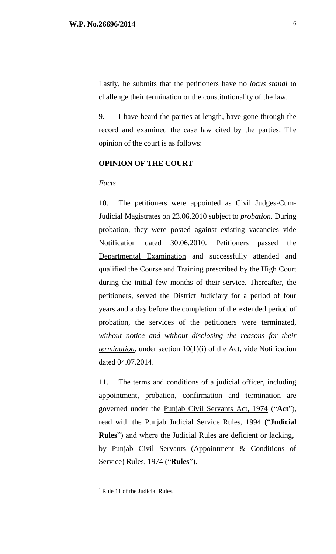9. I have heard the parties at length, have gone through the record and examined the case law cited by the parties. The opinion of the court is as follows:

### **OPINION OF THE COURT**

### *Facts*

10. The petitioners were appointed as Civil Judges-Cum-Judicial Magistrates on 23.06.2010 subject to *probation*. During probation, they were posted against existing vacancies vide Notification dated 30.06.2010. Petitioners passed the Departmental Examination and successfully attended and qualified the Course and Training prescribed by the High Court during the initial few months of their service. Thereafter, the petitioners, served the District Judiciary for a period of four years and a day before the completion of the extended period of probation, the services of the petitioners were terminated, *without notice and without disclosing the reasons for their termination*, under section 10(1)(i) of the Act, vide Notification dated 04.07.2014.

11. The terms and conditions of a judicial officer, including appointment, probation, confirmation and termination are governed under the Punjab Civil Servants Act, 1974 ("**Act**"), read with the Punjab Judicial Service Rules, 1994 ("**Judicial Rules**") and where the Judicial Rules are deficient or lacking,<sup>1</sup> by Punjab Civil Servants (Appointment & Conditions of Service) Rules, 1974 ("**Rules**").

 $\overline{a}$ 

 $<sup>1</sup>$  Rule 11 of the Judicial Rules.</sup>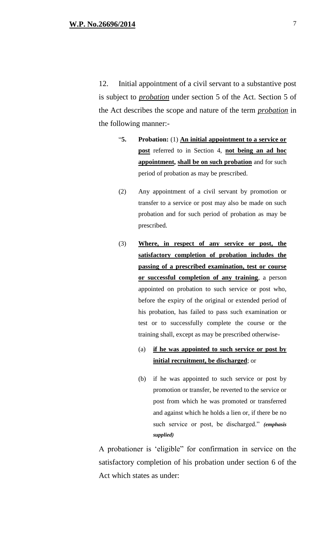12. Initial appointment of a civil servant to a substantive post is subject to *probation* under section 5 of the Act. Section 5 of the Act describes the scope and nature of the term *probation* in the following manner:-

- "**5. Probation:** (1) **An initial appointment to a service or post** referred to in Section 4, **not being an ad hoc appointment, shall be on such probation** and for such period of probation as may be prescribed.
- (2) Any appointment of a civil servant by promotion or transfer to a service or post may also be made on such probation and for such period of probation as may be prescribed.
- (3) **Where, in respect of any service or post, the satisfactory completion of probation includes the passing of a prescribed examination, test or course or successful completion of any training**, a person appointed on probation to such service or post who, before the expiry of the original or extended period of his probation, has failed to pass such examination or test or to successfully complete the course or the training shall, except as may be prescribed otherwise-
	- (a) **if he was appointed to such service or post by initial recruitment, be discharged**; or
	- (b) if he was appointed to such service or post by promotion or transfer, be reverted to the service or post from which he was promoted or transferred and against which he holds a lien or, if there be no such service or post, be discharged." *(emphasis supplied)*

A probationer is 'eligible" for confirmation in service on the satisfactory completion of his probation under section 6 of the Act which states as under: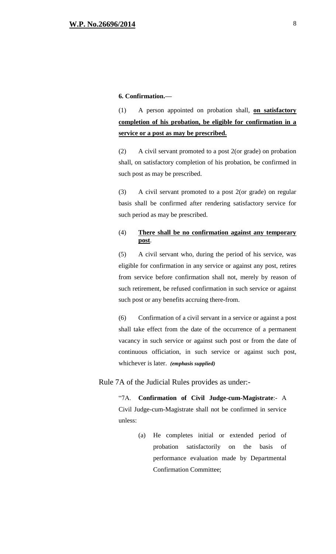#### **6. Confirmation.—**

(1) A person appointed on probation shall, **on satisfactory completion of his probation, be eligible for confirmation in a service or a post as may be prescribed.**

(2) A civil servant promoted to a post 2(or grade) on probation shall, on satisfactory completion of his probation, be confirmed in such post as may be prescribed.

(3) A civil servant promoted to a post 2(or grade) on regular basis shall be confirmed after rendering satisfactory service for such period as may be prescribed.

#### (4) **There shall be no confirmation against any temporary post**.

(5) A civil servant who, during the period of his service, was eligible for confirmation in any service or against any post, retires from service before confirmation shall not, merely by reason of such retirement, be refused confirmation in such service or against such post or any benefits accruing there-from.

(6) Confirmation of a civil servant in a service or against a post shall take effect from the date of the occurrence of a permanent vacancy in such service or against such post or from the date of continuous officiation, in such service or against such post, whichever is later. *(emphasis supplied)*

#### Rule 7A of the Judicial Rules provides as under:-

"7A. **Confirmation of Civil Judge-cum-Magistrate**:- A Civil Judge-cum-Magistrate shall not be confirmed in service unless:

> (a) He completes initial or extended period of probation satisfactorily on the basis of performance evaluation made by Departmental Confirmation Committee;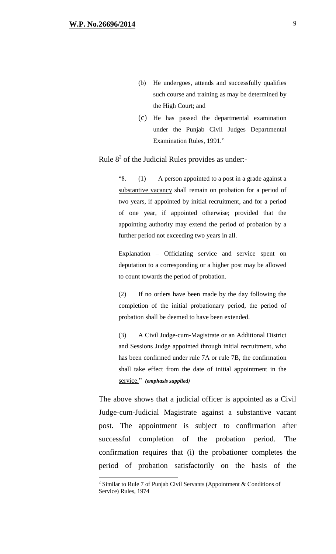$\overline{a}$ 

- (b) He undergoes, attends and successfully qualifies such course and training as may be determined by the High Court; and
- (c) He has passed the departmental examination under the Punjab Civil Judges Departmental Examination Rules, 1991."

## Rule  $8<sup>2</sup>$  of the Judicial Rules provides as under:-

"8. (1) A person appointed to a post in a grade against a substantive vacancy shall remain on probation for a period of two years, if appointed by initial recruitment, and for a period of one year, if appointed otherwise; provided that the appointing authority may extend the period of probation by a further period not exceeding two years in all.

Explanation – Officiating service and service spent on deputation to a corresponding or a higher post may be allowed to count towards the period of probation.

(2) If no orders have been made by the day following the completion of the initial probationary period, the period of probation shall be deemed to have been extended.

(3) A Civil Judge-cum-Magistrate or an Additional District and Sessions Judge appointed through initial recruitment, who has been confirmed under rule 7A or rule 7B, the confirmation shall take effect from the date of initial appointment in the service." *(emphasis supplied)*

The above shows that a judicial officer is appointed as a Civil Judge-cum-Judicial Magistrate against a substantive vacant post. The appointment is subject to confirmation after successful completion of the probation period. The confirmation requires that (i) the probationer completes the period of probation satisfactorily on the basis of the

<sup>&</sup>lt;sup>2</sup> Similar to Rule 7 of Punjab Civil Servants (Appointment & Conditions of Service) Rules, 1974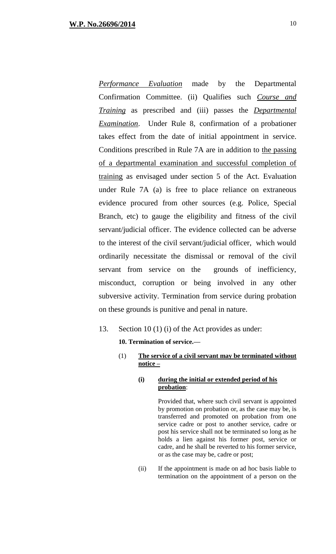*Performance Evaluation* made by the Departmental Confirmation Committee. (ii) Qualifies such *Course and Training* as prescribed and (iii) passes the *Departmental Examination*. Under Rule 8, confirmation of a probationer takes effect from the date of initial appointment in service. Conditions prescribed in Rule 7A are in addition to the passing of a departmental examination and successful completion of training as envisaged under section 5 of the Act. Evaluation under Rule 7A (a) is free to place reliance on extraneous evidence procured from other sources (e.g. Police, Special Branch, etc) to gauge the eligibility and fitness of the civil servant/judicial officer. The evidence collected can be adverse to the interest of the civil servant/judicial officer, which would ordinarily necessitate the dismissal or removal of the civil servant from service on the grounds of inefficiency, misconduct, corruption or being involved in any other subversive activity. Termination from service during probation on these grounds is punitive and penal in nature.

### 13. Section 10 (1) (i) of the Act provides as under:

**10. Termination of service.—**

### (1) **The service of a civil servant may be terminated without notice –**

### **(i) during the initial or extended period of his probation**:

Provided that, where such civil servant is appointed by promotion on probation or, as the case may be, is transferred and promoted on probation from one service cadre or post to another service, cadre or post his service shall not be terminated so long as he holds a lien against his former post, service or cadre, and he shall be reverted to his former service, or as the case may be, cadre or post;

(ii) If the appointment is made on ad hoc basis liable to termination on the appointment of a person on the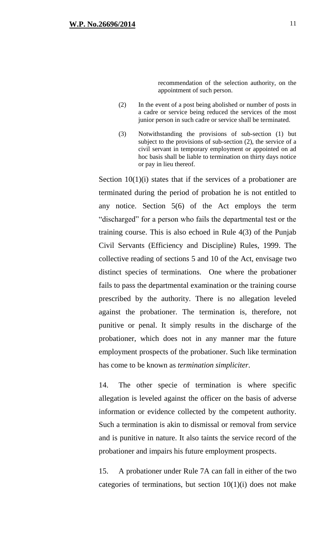recommendation of the selection authority, on the appointment of such person.

- (2) In the event of a post being abolished or number of posts in a cadre or service being reduced the services of the most junior person in such cadre or service shall be terminated.
- (3) Notwithstanding the provisions of sub-section (1) but subject to the provisions of sub-section (2), the service of a civil servant in temporary employment or appointed on ad hoc basis shall be liable to termination on thirty days notice or pay in lieu thereof.

Section  $10(1)(i)$  states that if the services of a probationer are terminated during the period of probation he is not entitled to any notice. Section 5(6) of the Act employs the term "discharged" for a person who fails the departmental test or the training course. This is also echoed in Rule 4(3) of the Punjab Civil Servants (Efficiency and Discipline) Rules, 1999. The collective reading of sections 5 and 10 of the Act, envisage two distinct species of terminations. One where the probationer fails to pass the departmental examination or the training course prescribed by the authority. There is no allegation leveled against the probationer. The termination is, therefore, not punitive or penal. It simply results in the discharge of the probationer, which does not in any manner mar the future employment prospects of the probationer. Such like termination has come to be known as *termination simpliciter.*

14. The other specie of termination is where specific allegation is leveled against the officer on the basis of adverse information or evidence collected by the competent authority. Such a termination is akin to dismissal or removal from service and is punitive in nature. It also taints the service record of the probationer and impairs his future employment prospects.

15. A probationer under Rule 7A can fall in either of the two categories of terminations, but section  $10(1)(i)$  does not make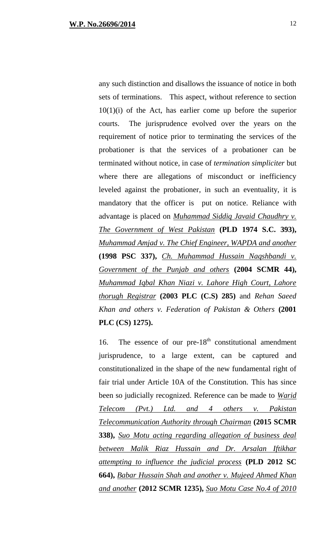any such distinction and disallows the issuance of notice in both sets of terminations. This aspect, without reference to section  $10(1)(i)$  of the Act, has earlier come up before the superior courts. The jurisprudence evolved over the years on the requirement of notice prior to terminating the services of the probationer is that the services of a probationer can be terminated without notice, in case of *termination simpliciter* but where there are allegations of misconduct or inefficiency leveled against the probationer, in such an eventuality, it is mandatory that the officer is put on notice. Reliance with advantage is placed on *Muhammad Siddiq Javaid Chaudhry v. The Government of West Pakistan* **(PLD 1974 S.C. 393),**  *Muhammad Amjad v. The Chief Engineer, WAPDA and another* **(1998 PSC 337),** *Ch. Muhammad Hussain Naqshbandi v. Government of the Punjab and others* **(2004 SCMR 44),**  *Muhammad Iqbal Khan Niazi v. Lahore High Court, Lahore thorugh Registrar* **(2003 PLC (C.S) 285)** and *Rehan Saeed Khan and others v. Federation of Pakistan & Others* **(2001 PLC (CS) 1275).**

16. The essence of our  $pre-18<sup>th</sup>$  constitutional amendment jurisprudence, to a large extent, can be captured and constitutionalized in the shape of the new fundamental right of fair trial under Article 10A of the Constitution. This has since been so judicially recognized. Reference can be made to *Warid Telecom (Pvt.) Ltd. and 4 others v. Pakistan Telecommunication Authority through Chairman* **(2015 SCMR 338),** *Suo Motu acting regarding allegation of business deal between Malik Riaz Hussain and Dr. Arsalan Iftikhar attempting to influence the judicial process* **(PLD 2012 SC 664),** *Babar Hussain Shah and another v. Mujeed Ahmed Khan and another* **(2012 SCMR 1235),** *Suo Motu Case No.4 of 2010*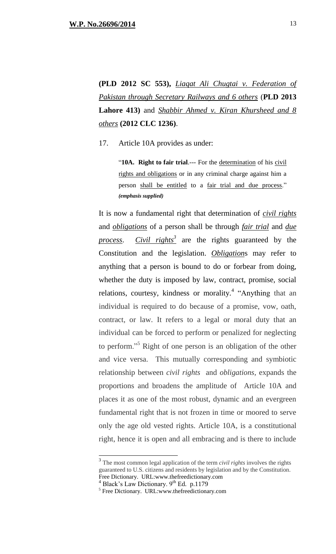**(PLD 2012 SC 553),** *Liaqat Ali Chugtai v. Federation of Pakistan through Secretary Railways and 6 others* (**PLD 2013 Lahore 413)** and *Shabbir Ahmed v. Kiran Khursheed and 8 others* **(2012 CLC 1236)**.

17. Article 10A provides as under:

"**10A.** Right to fair trial.--- For the determination of his civil rights and obligations or in any criminal charge against him a person shall be entitled to a fair trial and due process." *(emphasis supplied)* 

It is now a fundamental right that determination of *civil rights* and *obligations* of a person shall be through *fair trial* and *due process*. *Civil rights 3* are the rights guaranteed by the Constitution and the legislation. *Obligation*s may refer to anything that a person is bound to do or forbear from doing, whether the duty is imposed by law, contract, promise, social relations, courtesy, kindness or morality.<sup>4</sup> "Anything that an individual is required to do because of a promise, vow, oath, contract, or law. It refers to a legal or moral duty that an individual can be forced to perform or penalized for neglecting to perform."<sup>5</sup> Right of one person is an obligation of the other and vice versa. This mutually corresponding and symbiotic relationship between *civil rights* and *obligations,* expands the proportions and broadens the amplitude of Article 10A and places it as one of the most robust, dynamic and an evergreen fundamental right that is not frozen in time or moored to serve only the age old vested rights. Article 10A, is a constitutional right, hence it is open and all embracing and is there to include

<sup>&</sup>lt;sup>3</sup> The most common legal application of the term *civil rights* involves the rights guaranteed to U.S. citizens and residents by legislation and by the Constitution. Free Dictionary. URL:www.thefreedictionary.com

 $^{4}$  Black's Law Dictionary. 9<sup>th</sup> Ed. p.1179

<sup>5</sup> Free Dictionary. URL:www.thefreedictionary.com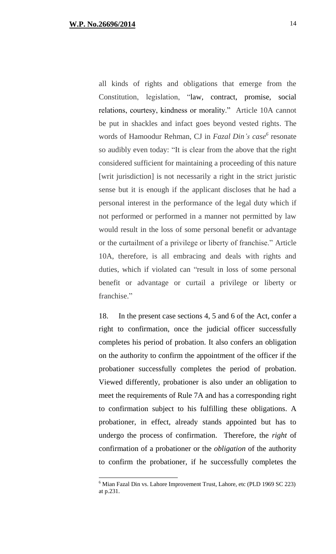$\overline{a}$ 

all kinds of rights and obligations that emerge from the Constitution, legislation, "law, contract, promise, social relations, courtesy, kindness or morality." Article 10A cannot be put in shackles and infact goes beyond vested rights. The words of Hamoodur Rehman, CJ in *Fazal Din's case 6* resonate so audibly even today: "It is clear from the above that the right considered sufficient for maintaining a proceeding of this nature [writ jurisdiction] is not necessarily a right in the strict juristic sense but it is enough if the applicant discloses that he had a personal interest in the performance of the legal duty which if not performed or performed in a manner not permitted by law would result in the loss of some personal benefit or advantage or the curtailment of a privilege or liberty of franchise." Article 10A, therefore, is all embracing and deals with rights and duties, which if violated can "result in loss of some personal benefit or advantage or curtail a privilege or liberty or franchise."

18. In the present case sections 4, 5 and 6 of the Act, confer a right to confirmation, once the judicial officer successfully completes his period of probation. It also confers an obligation on the authority to confirm the appointment of the officer if the probationer successfully completes the period of probation. Viewed differently, probationer is also under an obligation to meet the requirements of Rule 7A and has a corresponding right to confirmation subject to his fulfilling these obligations. A probationer, in effect, already stands appointed but has to undergo the process of confirmation. Therefore, the *right* of confirmation of a probationer or the *obligation* of the authority to confirm the probationer, if he successfully completes the

<sup>6</sup> Mian Fazal Din vs. Lahore Improvement Trust, Lahore, etc (PLD 1969 SC 223) at p.231.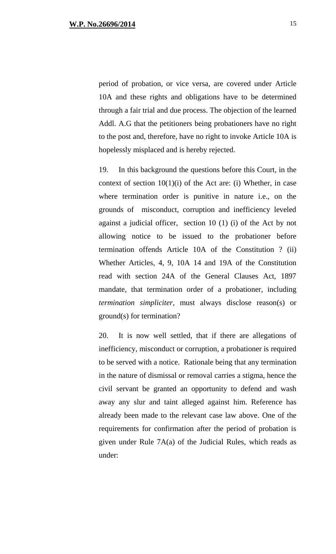period of probation, or vice versa, are covered under Article 10A and these rights and obligations have to be determined through a fair trial and due process. The objection of the learned Addl. A.G that the petitioners being probationers have no right to the post and, therefore, have no right to invoke Article 10A is hopelessly misplaced and is hereby rejected.

19. In this background the questions before this Court, in the context of section  $10(1)(i)$  of the Act are: (i) Whether, in case where termination order is punitive in nature i.e., on the grounds of misconduct, corruption and inefficiency leveled against a judicial officer, section 10 (1) (i) of the Act by not allowing notice to be issued to the probationer before termination offends Article 10A of the Constitution ? (ii) Whether Articles, 4, 9, 10A 14 and 19A of the Constitution read with section 24A of the General Clauses Act, 1897 mandate, that termination order of a probationer, including *termination simpliciter,* must always disclose reason(s) or ground(s) for termination?

20. It is now well settled, that if there are allegations of inefficiency, misconduct or corruption, a probationer is required to be served with a notice. Rationale being that any termination in the nature of dismissal or removal carries a stigma, hence the civil servant be granted an opportunity to defend and wash away any slur and taint alleged against him. Reference has already been made to the relevant case law above. One of the requirements for confirmation after the period of probation is given under Rule 7A(a) of the Judicial Rules, which reads as under: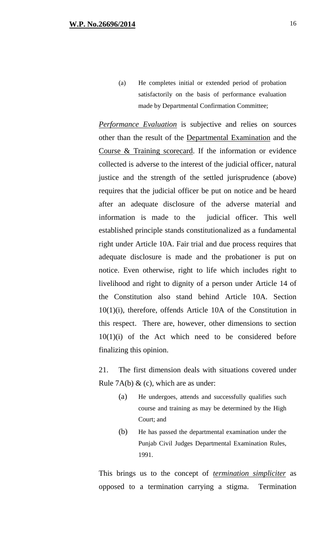(a) He completes initial or extended period of probation satisfactorily on the basis of performance evaluation made by Departmental Confirmation Committee;

*Performance Evaluation* is subjective and relies on sources other than the result of the Departmental Examination and the Course & Training scorecard. If the information or evidence collected is adverse to the interest of the judicial officer, natural justice and the strength of the settled jurisprudence (above) requires that the judicial officer be put on notice and be heard after an adequate disclosure of the adverse material and information is made to the judicial officer. This well established principle stands constitutionalized as a fundamental right under Article 10A. Fair trial and due process requires that adequate disclosure is made and the probationer is put on notice. Even otherwise, right to life which includes right to livelihood and right to dignity of a person under Article 14 of the Constitution also stand behind Article 10A. Section 10(1)(i), therefore, offends Article 10A of the Constitution in this respect. There are, however, other dimensions to section  $10(1)(i)$  of the Act which need to be considered before finalizing this opinion.

21. The first dimension deals with situations covered under Rule 7A(b)  $\&$  (c), which are as under:

- (a) He undergoes, attends and successfully qualifies such course and training as may be determined by the High Court; and
- (b) He has passed the departmental examination under the Punjab Civil Judges Departmental Examination Rules, 1991.

This brings us to the concept of *termination simpliciter* as opposed to a termination carrying a stigma. Termination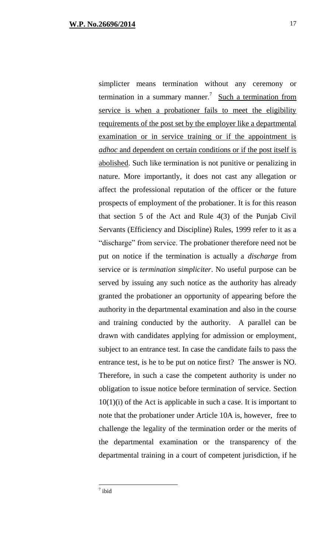simplicter means termination without any ceremony or termination in a summary manner.<sup>7</sup> Such a termination from service is when a probationer fails to meet the eligibility requirements of the post set by the employer like a departmental examination or in service training or if the appointment is *adhoc* and dependent on certain conditions or if the post itself is abolished. Such like termination is not punitive or penalizing in nature. More importantly, it does not cast any allegation or affect the professional reputation of the officer or the future prospects of employment of the probationer. It is for this reason that section 5 of the Act and Rule 4(3) of the Punjab Civil Servants (Efficiency and Discipline) Rules, 1999 refer to it as a "discharge" from service. The probationer therefore need not be put on notice if the termination is actually a *discharge* from service or is *termination simpliciter*. No useful purpose can be served by issuing any such notice as the authority has already granted the probationer an opportunity of appearing before the authority in the departmental examination and also in the course and training conducted by the authority. A parallel can be drawn with candidates applying for admission or employment, subject to an entrance test. In case the candidate fails to pass the entrance test, is he to be put on notice first? The answer is NO. Therefore, in such a case the competent authority is under no obligation to issue notice before termination of service. Section  $10(1)(i)$  of the Act is applicable in such a case. It is important to note that the probationer under Article 10A is, however, free to challenge the legality of the termination order or the merits of the departmental examination or the transparency of the departmental training in a court of competent jurisdiction, if he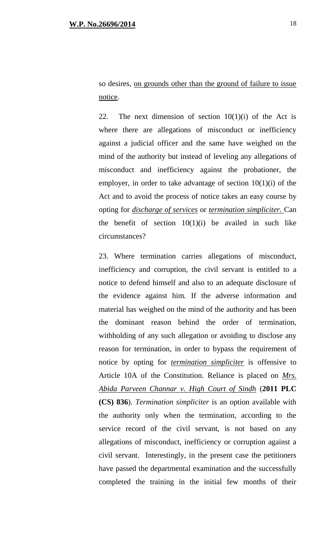so desires, on grounds other than the ground of failure to issue notice.

22. The next dimension of section  $10(1)(i)$  of the Act is where there are allegations of misconduct or inefficiency against a judicial officer and the same have weighed on the mind of the authority but instead of leveling any allegations of misconduct and inefficiency against the probationer, the employer, in order to take advantage of section  $10(1)(i)$  of the Act and to avoid the process of notice takes an easy course by opting for *discharge of services* or *termination simpliciter.* Can the benefit of section  $10(1)(i)$  be availed in such like circumstances?

23. Where termination carries allegations of misconduct, inefficiency and corruption, the civil servant is entitled to a notice to defend himself and also to an adequate disclosure of the evidence against him. If the adverse information and material has weighed on the mind of the authority and has been the dominant reason behind the order of termination, withholding of any such allegation or avoiding to disclose any reason for termination, in order to bypass the requirement of notice by opting for *termination simpliciter* is offensive to Article 10A of the Constitution. Reliance is placed on *Mrs. Abida Parveen Channar v. High Court of Sindh* (**2011 PLC (CS) 836**). *Termination simpliciter* is an option available with the authority only when the termination, according to the service record of the civil servant, is not based on any allegations of misconduct, inefficiency or corruption against a civil servant. Interestingly, in the present case the petitioners have passed the departmental examination and the successfully completed the training in the initial few months of their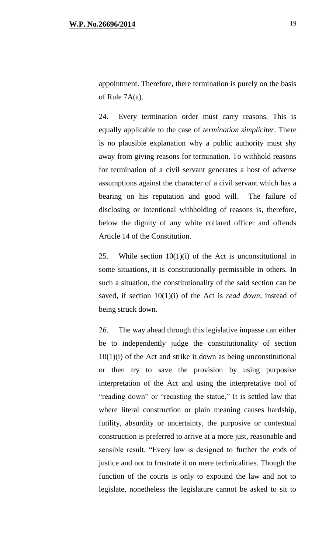24. Every termination order must carry reasons. This is equally applicable to the case of *termination simpliciter*. There is no plausible explanation why a public authority must shy away from giving reasons for termination. To withhold reasons for termination of a civil servant generates a host of adverse assumptions against the character of a civil servant which has a bearing on his reputation and good will. The failure of disclosing or intentional withholding of reasons is, therefore, below the dignity of any white collared officer and offends Article 14 of the Constitution.

25. While section  $10(1)(i)$  of the Act is unconstitutional in some situations, it is constitutionally permissible in others. In such a situation, the constitutionality of the said section can be saved, if section 10(1)(i) of the Act is *read down,* instead of being struck down.

26. The way ahead through this legislative impasse can either be to independently judge the constitutionality of section  $10(1)(i)$  of the Act and strike it down as being unconstitutional or then try to save the provision by using purposive interpretation of the Act and using the interpretative tool of "reading down" or "recasting the statue." It is settled law that where literal construction or plain meaning causes hardship, futility, absurdity or uncertainty, the purposive or contextual construction is preferred to arrive at a more just, reasonable and sensible result. "Every law is designed to further the ends of justice and not to frustrate it on mere technicalities. Though the function of the courts is only to expound the law and not to legislate, nonetheless the legislature cannot be asked to sit to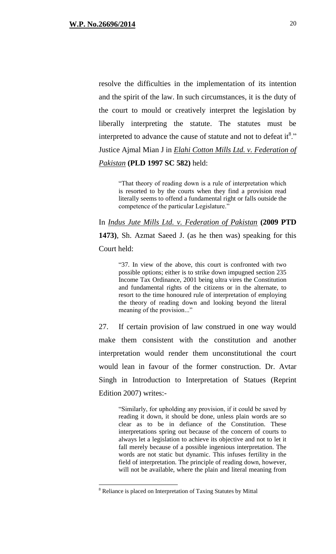resolve the difficulties in the implementation of its intention and the spirit of the law. In such circumstances, it is the duty of the court to mould or creatively interpret the legislation by liberally interpreting the statute. The statutes must be interpreted to advance the cause of statute and not to defeat it  $8$ ." Justice Ajmal Mian J in *Elahi Cotton Mills Ltd. v. Federation of Pakistan* **(PLD 1997 SC 582)** held:

"That theory of reading down is a rule of interpretation which is resorted to by the courts when they find a provision read literally seems to offend a fundamental right or falls outside the competence of the particular Legislature."

In *Indus Jute Mills Ltd. v. Federation of Pakistan* **(2009 PTD 1473)**, Sh. Azmat Saeed J. (as he then was) speaking for this Court held:

> "37. In view of the above, this court is confronted with two possible options; either is to strike down impugned section 235 Income Tax Ordinance, 2001 being ultra vires the Constitution and fundamental rights of the citizens or in the alternate, to resort to the time honoured rule of interpretation of employing the theory of reading down and looking beyond the literal meaning of the provision..."

27. If certain provision of law construed in one way would make them consistent with the constitution and another interpretation would render them unconstitutional the court would lean in favour of the former construction. Dr. Avtar Singh in Introduction to Interpretation of Statues (Reprint Edition 2007) writes:-

"Similarly, for upholding any provision, if it could be saved by reading it down, it should be done, unless plain words are so clear as to be in defiance of the Constitution. These interpretations spring out because of the concern of courts to always let a legislation to achieve its objective and not to let it fall merely because of a possible ingenious interpretation. The words are not static but dynamic. This infuses fertility in the field of interpretation. The principle of reading down, however, will not be available, where the plain and literal meaning from

 $\overline{a}$ 

<sup>8</sup> Reliance is placed on Interpretation of Taxing Statutes by Mittal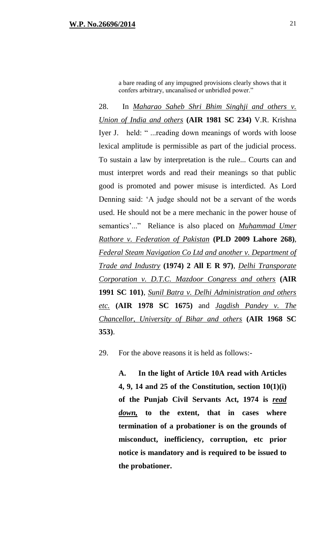a bare reading of any impugned provisions clearly shows that it confers arbitrary, uncanalised or unbridled power."

28. In *Maharao Saheb Shri Bhim Singhji and others v. Union of India and others* **(AIR 1981 SC 234)** V.R. Krishna Iyer J. held: " ...reading down meanings of words with loose lexical amplitude is permissible as part of the judicial process. To sustain a law by interpretation is the rule... Courts can and must interpret words and read their meanings so that public good is promoted and power misuse is interdicted. As Lord Denning said: 'A judge should not be a servant of the words used. He should not be a mere mechanic in the power house of semantics'..." Reliance is also placed on *Muhammad Umer Rathore v. Federation of Pakistan* **(PLD 2009 Lahore 268)**, *Federal Steam Navigation Co Ltd and another v. Department of Trade and Industry* **(1974) 2 All E R 97)**, *Delhi Transporate Corporation v. D.T.C. Mazdoor Congress and others* **(AIR 1991 SC 101)**, *Sunil Batra v. Delhi Administration and others etc.* **(AIR 1978 SC 1675)** and *Jagdish Pandey v. The Chancellor, University of Bihar and others* **(AIR 1968 SC 353)**.

29. For the above reasons it is held as follows:-

**A. In the light of Article 10A read with Articles 4, 9, 14 and 25 of the Constitution, section 10(1)(i) of the Punjab Civil Servants Act, 1974 is** *read down,* **to the extent, that in cases where termination of a probationer is on the grounds of misconduct, inefficiency, corruption, etc prior notice is mandatory and is required to be issued to the probationer.**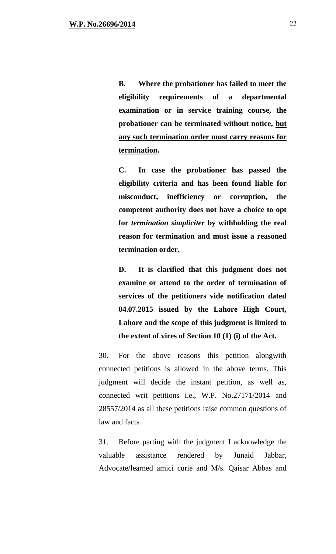**B. Where the probationer has failed to meet the eligibility requirements of a departmental examination or in service training course, the probationer can be terminated without notice, but any such termination order must carry reasons for termination.** 

**C. In case the probationer has passed the eligibility criteria and has been found liable for misconduct, inefficiency or corruption, the competent authority does not have a choice to opt for** *termination simpliciter* **by withholding the real reason for termination and must issue a reasoned termination order.**

**D. It is clarified that this judgment does not examine or attend to the order of termination of services of the petitioners vide notification dated 04.07.2015 issued by the Lahore High Court, Lahore and the scope of this judgment is limited to the extent of vires of Section 10 (1) (i) of the Act.**

30. For the above reasons this petition alongwith connected petitions is allowed in the above terms. This judgment will decide the instant petition, as well as, connected writ petitions i.e., W.P. No.27171/2014 and 28557/2014 as all these petitions raise common questions of law and facts

31. Before parting with the judgment I acknowledge the valuable assistance rendered by Junaid Jabbar, Advocate/learned amici curie and M/s. Qaisar Abbas and